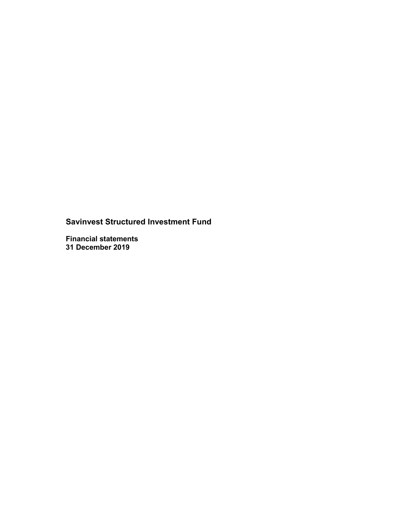**Financial statements 31 December 2019**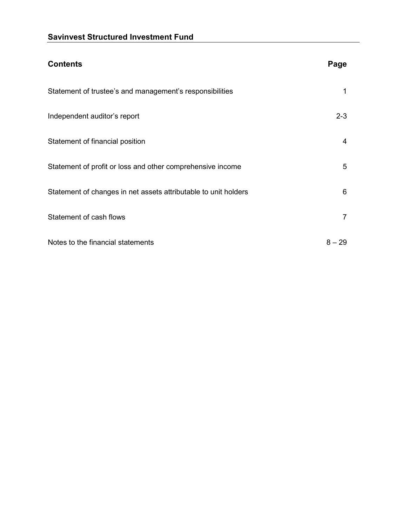| <b>Contents</b>                                                 | Page     |
|-----------------------------------------------------------------|----------|
| Statement of trustee's and management's responsibilities        | 1        |
| Independent auditor's report                                    | $2 - 3$  |
| Statement of financial position                                 | 4        |
| Statement of profit or loss and other comprehensive income      | 5        |
| Statement of changes in net assets attributable to unit holders | 6        |
| Statement of cash flows                                         | 7        |
| Notes to the financial statements                               | $8 - 29$ |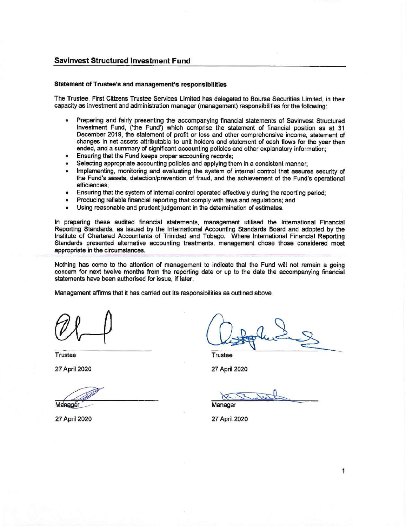#### **Statement of Trustee's** and management's responsibilities

The Trustee, First Citizens Trustee Services Limited has delegated to Bourse Securities Limited, in their capacity as investment and administration manager (management) responsibilities for the following:

- Preparing and fairly presenting the accompanying financial statements of Savinvest Structured Investment Fund, ('the Fund') which comprise the statement of financial position as at 31 December 2019, the statement of profit or loss and other comprehensive income, statement of changes in net assets attributable to unit holders and statement of cash flows for the year then ended, and a summary of significant accounting policies and other explanatory information;
- Ensuring that the Fund keeps proper accounting records;
- Selecting appropriate accounting policies and applying them in a consistent manner;
- Implementing, monitoring and evaluating the system of internal control that assures security of the Fund's assets, detection/prevention of fraud, and the achievement of the Fund's operational efficiencies;
- Ensuring that the system of internal control operated effectively during the reporting period;
- Producing reliable financial reporting that comply with laws and regulations; and
- Using reasonable and prudent judgement in the determination of estimates.

In preparing these audited financial statements, management utilised the International Financial Reporting Standards, as issued by the International Accounting Standards Board and adopted by the Institute of Chartered Accountants of Trinidad and Tobago. Where International Financial Reporting Standards presented alternative accounting treatments, management chose those considered most appropriate in the circumstances.

Nothing has come to the attention of management to indicate that the Fund will not remain a going concern for next twelve months from the reporting date or up to the date the accompanying financial statements have been authorised for issue, if later.

Management affirms that it has carried out its responsibilities as outlined above.

27 April 2020 27 April 2020

Manager

27 April 2020 27 April 2020

Trustee Trustee

Manager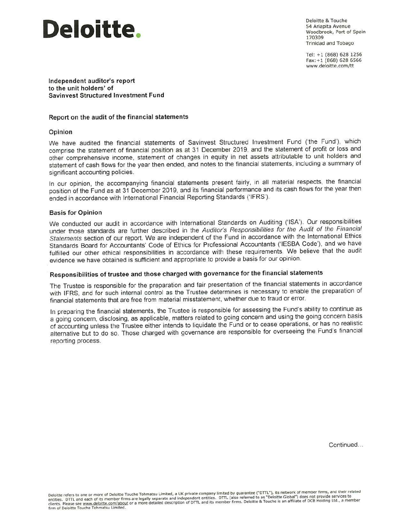# **Deloitte**.

Deloitte & Touche 54 Ariapita Avenue Woodbrook, Port of Spain 170309 Trinidad and Tobago

Tel: +1 (868) 628 1256 Fax: +1 (868) 628 6566 www.deloitte.com/tt

Independent auditor's report to the unit holders' of **Savinvest Structured Investment Fund** 

#### Report on the audit of the financial statements

#### Opinion

We have audited the financial statements of Savinvest Structured Investment Fund ('the Fund'), which comprise the statement of financial position as at 31 December 2019, and the statement of profit or loss and other comprehensive income, statement of changes in equity in net assets attributable to unit holders and statement of cash flows for the year then ended, and notes to the financial statements, including a summary of significant accounting policies.

In our opinion, the accompanying financial statements present fairly, in all material respects, the financial position of the Fund as at 31 December 2019, and its financial performance and its cash flows for the year then ended in accordance with International Financial Reporting Standards ('IFRS').

#### **Basis for Opinion**

We conducted our audit in accordance with International Standards on Auditing ('ISA'). Our responsibilities under those standards are further described in the Auditor's Responsibilities for the Audit of the Financial Statements section of our report. We are independent of the Fund in accordance with the International Ethics Standards Board for Accountants' Code of Ethics for Professional Accountants ('IESBA Code'), and we have fulfilled our other ethical responsibilities in accordance with these requirements. We believe that the audit evidence we have obtained is sufficient and appropriate to provide a basis for our opinion.

#### Responsibilities of trustee and those charged with governance for the financial statements

The Trustee is responsible for the preparation and fair presentation of the financial statements in accordance with IFRS, and for such internal control as the Trustee determines is necessary to enable the preparation of financial statements that are free from material misstatement, whether due to fraud or error.

In preparing the financial statements, the Trustee is responsible for assessing the Fund's ability to continue as a going concern, disclosing, as applicable, matters related to going concern and using the going concern basis of accounting unless the Trustee either intends to liquidate the Fund or to cease operations, or has no realistic alternative but to do so. Those charged with governance are responsible for overseeing the Fund's financial reporting process.

Continued...

Deloitte refers to one or more of Deloitte Touche Tohmatsu Limited, a UK private company limited by guarantee ("DTTL"), its network of member firms, and their related<br>chitties. DTTL and each of its member firms are legally firm of Deloitte Touche Tohmatsu Limited.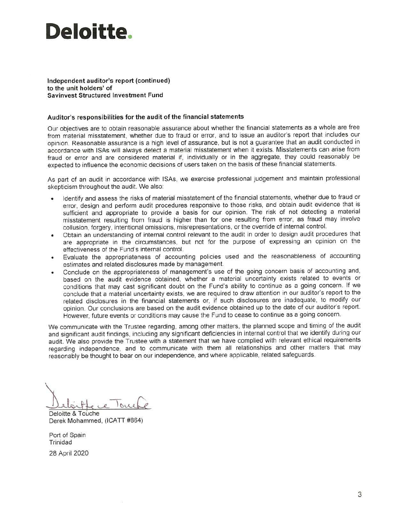## **Deloitte**

Independent auditor's report (continued) to the unit holders' of **Savinvest Structured Investment Fund** 

#### Auditor's responsibilities for the audit of the financial statements

Our objectives are to obtain reasonable assurance about whether the financial statements as a whole are free from material misstatement, whether due to fraud or error, and to issue an auditor's report that includes our opinion. Reasonable assurance is a high level of assurance, but is not a guarantee that an audit conducted in accordance with ISAs will always detect a material misstatement when it exists. Misstatements can arise from fraud or error and are considered material if, individually or in the aggregate, they could reasonably be expected to influence the economic decisions of users taken on the basis of these financial statements.

As part of an audit in accordance with ISAs, we exercise professional judgement and maintain professional skepticism throughout the audit. We also:

- Identify and assess the risks of material misstatement of the financial statements, whether due to fraud or error, design and perform audit procedures responsive to those risks, and obtain audit evidence that is sufficient and appropriate to provide a basis for our opinion. The risk of not detecting a material misstatement resulting from fraud is higher than for one resulting from error, as fraud may involve collusion, forgery, intentional omissions, misrepresentations, or the override of internal control.
- Obtain an understanding of internal control relevant to the audit in order to design audit procedures that are appropriate in the circumstances, but not for the purpose of expressing an opinion on the effectiveness of the Fund's internal control.
- Evaluate the appropriateness of accounting policies used and the reasonableness of accounting  $\bullet$ estimates and related disclosures made by management.
- Conclude on the appropriateness of management's use of the going concern basis of accounting and, based on the audit evidence obtained, whether a material uncertainty exists related to events or conditions that may cast significant doubt on the Fund's ability to continue as a going concern. If we conclude that a material uncertainty exists, we are required to draw attention in our auditor's report to the related disclosures in the financial statements or, if such disclosures are inadequate, to modify our opinion. Our conclusions are based on the audit evidence obtained up to the date of our auditor's report. However, future events or conditions may cause the Fund to cease to continue as a going concern.

We communicate with the Trustee regarding, among other matters, the planned scope and timing of the audit and significant audit findings, including any significant deficiencies in internal control that we identify during our audit. We also provide the Trustee with a statement that we have complied with relevant ethical requirements regarding independence, and to communicate with them all relationships and other matters that may reasonably be thought to bear on our independence, and where applicable, related safeguards.

Deloitte & Touche Derek Mohammed, (ICATT #864)

Port of Spain Trinidad 28 April 2020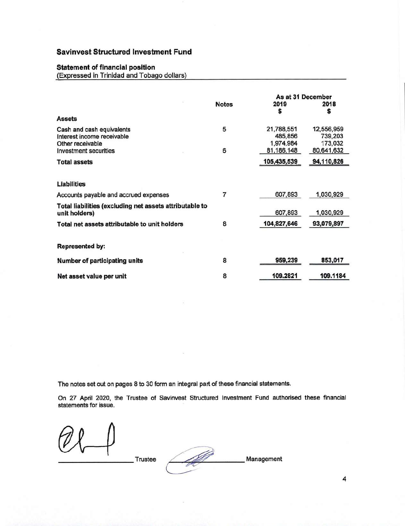#### **Statement of financial position**

(Expressed in Trinidad and Tobago dollars)

|                                                                          |              |             | As at 31 December |  |
|--------------------------------------------------------------------------|--------------|-------------|-------------------|--|
|                                                                          | <b>Notes</b> | 2019        | 2018              |  |
|                                                                          |              | s           | S                 |  |
| <b>Assets</b>                                                            |              |             |                   |  |
| Cash and cash equivalents                                                | 5            | 21,788,551  | 12,556,959        |  |
| Interest income receivable                                               |              | 485,856     | 739,203           |  |
| Other receivable                                                         |              | 1,974,984   | 173,032           |  |
| Investment securities                                                    | 6            | 81,186,148  | 80,641,632        |  |
| <b>Total assets</b>                                                      |              | 105,435,539 | 94,110,826        |  |
| <b>Liabilities</b>                                                       |              |             |                   |  |
| Accounts payable and accrued expenses                                    | 7            | 607,893     | 1,030,929         |  |
| Total liabilities (excluding net assets attributable to<br>unit holders) |              | 607,893     | 1,030,929         |  |
|                                                                          |              |             |                   |  |
| Total net assets attributable to unit holders                            | 8            | 104,827,646 | 93,079,897        |  |
| <b>Represented by:</b>                                                   |              |             |                   |  |
| Number of participating units                                            | 8            | 959,239     | 853,017           |  |
| Net asset value per unit                                                 | 8            | 109.2821    | 109.1184          |  |

The notes set out on pages 8 to 30 form an integral part of these financial statements.

On 27 April 2020, the Trustee of Savinvest Structured Investment Fund authorised these financial statements for issue.

Trustee Management

4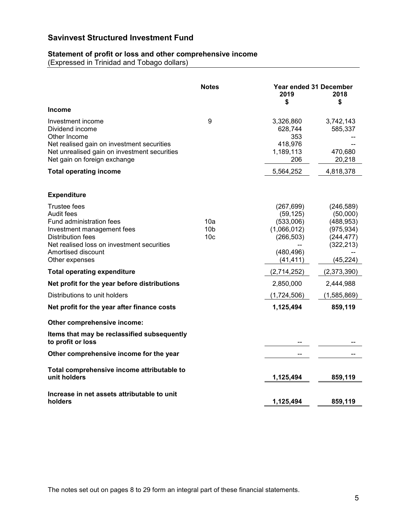## **Statement of profit or loss and other comprehensive income**

(Expressed in Trinidad and Tobago dollars)

|                                                                                                                                                                                                        | <b>Notes</b>                              | <b>Year ended 31 December</b><br>2019<br>\$                                                  | 2018<br>\$                                                                                  |
|--------------------------------------------------------------------------------------------------------------------------------------------------------------------------------------------------------|-------------------------------------------|----------------------------------------------------------------------------------------------|---------------------------------------------------------------------------------------------|
| <b>Income</b>                                                                                                                                                                                          |                                           |                                                                                              |                                                                                             |
| Investment income<br>Dividend income<br>Other Income<br>Net realised gain on investment securities<br>Net unrealised gain on investment securities<br>Net gain on foreign exchange                     | 9                                         | 3,326,860<br>628,744<br>353<br>418,976<br>1,189,113<br>206                                   | 3,742,143<br>585,337<br>470,680<br>20,218                                                   |
| <b>Total operating income</b>                                                                                                                                                                          |                                           | 5,564,252                                                                                    | 4,818,378                                                                                   |
| <b>Expenditure</b>                                                                                                                                                                                     |                                           |                                                                                              |                                                                                             |
| Trustee fees<br>Audit fees<br>Fund administration fees<br>Investment management fees<br><b>Distribution fees</b><br>Net realised loss on investment securities<br>Amortised discount<br>Other expenses | 10a<br>10 <sub>b</sub><br>10 <sub>c</sub> | (267, 699)<br>(59, 125)<br>(533,006)<br>(1,066,012)<br>(266, 503)<br>(480, 496)<br>(41, 411) | (246, 589)<br>(50,000)<br>(488, 953)<br>(975, 934)<br>(244, 477)<br>(322, 213)<br>(45, 224) |
| <b>Total operating expenditure</b>                                                                                                                                                                     |                                           | (2,714,252)                                                                                  | (2,373,390)                                                                                 |
| Net profit for the year before distributions                                                                                                                                                           |                                           | 2,850,000                                                                                    | 2,444,988                                                                                   |
| Distributions to unit holders                                                                                                                                                                          |                                           | (1,724,506)                                                                                  | (1,585,869)                                                                                 |
| Net profit for the year after finance costs                                                                                                                                                            |                                           | 1,125,494                                                                                    | 859,119                                                                                     |
| Other comprehensive income:                                                                                                                                                                            |                                           |                                                                                              |                                                                                             |
| Items that may be reclassified subsequently<br>to profit or loss                                                                                                                                       |                                           |                                                                                              |                                                                                             |
| Other comprehensive income for the year                                                                                                                                                                |                                           |                                                                                              |                                                                                             |
| Total comprehensive income attributable to<br>unit holders                                                                                                                                             |                                           | 1,125,494                                                                                    | 859,119                                                                                     |
| Increase in net assets attributable to unit<br>holders                                                                                                                                                 |                                           | 1,125,494                                                                                    | 859,119                                                                                     |

The notes set out on pages 8 to 29 form an integral part of these financial statements.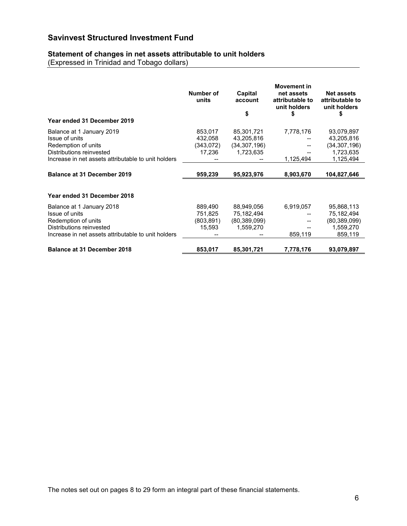## **Statement of changes in net assets attributable to unit holders**

(Expressed in Trinidad and Tobago dollars)

| Year ended 31 December 2019                                                                                                                           | Number of<br>units                         | Capital<br>account<br>\$                                | <b>Movement in</b><br>net assets<br>attributable to<br>unit holders<br>\$ | <b>Net assets</b><br>attributable to<br>unit holders<br>\$         |
|-------------------------------------------------------------------------------------------------------------------------------------------------------|--------------------------------------------|---------------------------------------------------------|---------------------------------------------------------------------------|--------------------------------------------------------------------|
| Balance at 1 January 2019<br>Issue of units<br>Redemption of units<br>Distributions reinvested<br>Increase in net assets attributable to unit holders | 853,017<br>432,058<br>(343,072)<br>17,236  | 85,301,721<br>43,205,816<br>(34,307,196)<br>1,723,635   | 7,778,176<br>--<br>1,125,494                                              | 93,079,897<br>43,205,816<br>(34,307,196)<br>1,723,635<br>1,125,494 |
| <b>Balance at 31 December 2019</b>                                                                                                                    | 959,239                                    | 95,923,976                                              | 8,903,670                                                                 | 104,827,646                                                        |
| Year ended 31 December 2018                                                                                                                           |                                            |                                                         |                                                                           |                                                                    |
| Balance at 1 January 2018<br>Issue of units<br>Redemption of units<br>Distributions reinvested<br>Increase in net assets attributable to unit holders | 889,490<br>751,825<br>(803, 891)<br>15,593 | 88,949,056<br>75,182,494<br>(80, 389, 099)<br>1,559,270 | 6,919,057<br>859,119                                                      | 95,868,113<br>75,182,494<br>(80, 389, 099)<br>1,559,270<br>859,119 |
| <b>Balance at 31 December 2018</b>                                                                                                                    | 853,017                                    | 85,301,721                                              | 7,778,176                                                                 | 93,079,897                                                         |

The notes set out on pages 8 to 29 form an integral part of these financial statements.